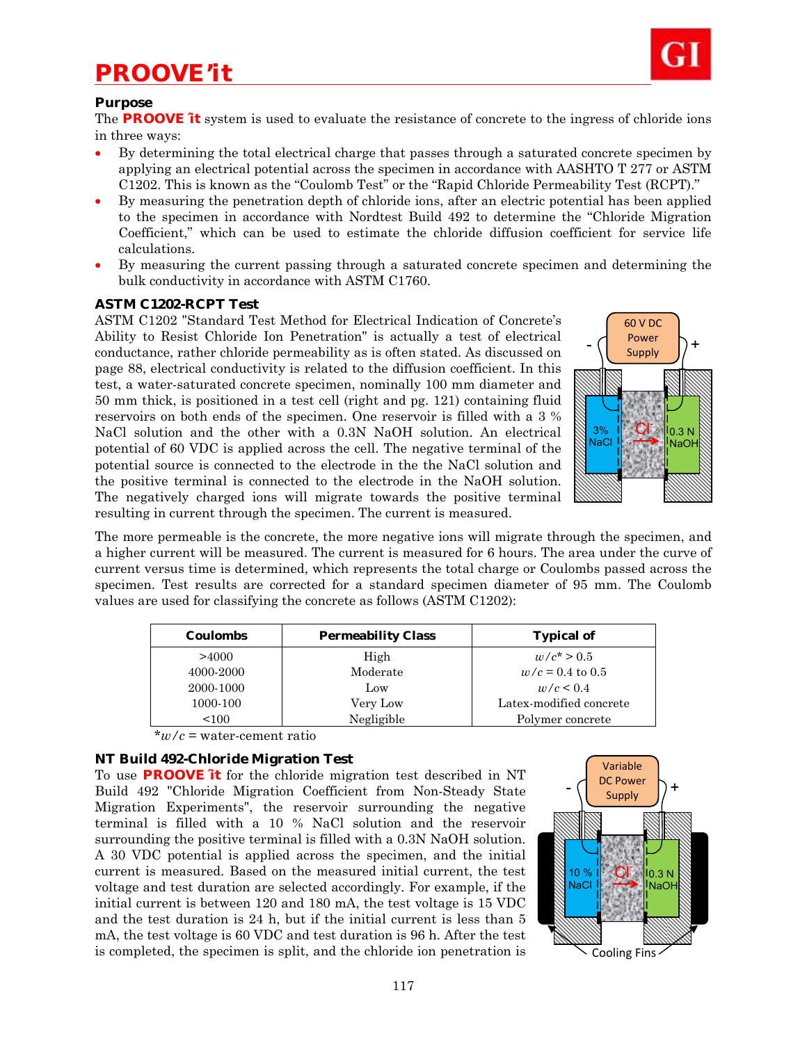# *PROOVE'it*



#### **Purpose**

The **PROOVE´it** system is used to evaluate the resistance of concrete to the ingress of chloride ions in three ways:

- By determining the total electrical charge that passes through a saturated concrete specimen by applying an electrical potential across the specimen in accordance with AASHTO T 277 or ASTM C1202. This is known as the "Coulomb Test" or the "Rapid Chloride Permeability Test (RCPT)."
- By measuring the penetration depth of chloride ions, after an electric potential has been applied to the specimen in accordance with Nordtest Build 492 to determine the "Chloride Migration Coefficient," which can be used to estimate the chloride diffusion coefficient for service life calculations.
- By measuring the current passing through a saturated concrete specimen and determining the bulk conductivity in accordance with ASTM C1760.

#### **ASTM C1202-RCPT Test**

ASTM C1202 "Standard Test Method for Electrical Indication of Concrete's Ability to Resist Chloride Ion Penetration" is actually a test of electrical conductance, rather chloride permeability as is often stated. As discussed on page 88, electrical conductivity is related to the diffusion coefficient. In this test, a water-saturated concrete specimen, nominally 100 mm diameter and 50 mm thick, is positioned in a test cell (right and pg. 121) containing fluid reservoirs on both ends of the specimen. One reservoir is filled with a 3 % NaCl solution and the other with a 0.3N NaOH solution. An electrical potential of 60 VDC is applied across the cell. The negative terminal of the potential source is connected to the electrode in the the NaCl solution and the positive terminal is connected to the electrode in the NaOH solution. The negatively charged ions will migrate towards the positive terminal resulting in current through the specimen. The current is measured.



The more permeable is the concrete, the more negative ions will migrate through the specimen, and a higher current will be measured. The current is measured for 6 hours. The area under the curve of current versus time is determined, which represents the total charge or Coulombs passed across the specimen. Test results are corrected for a standard specimen diameter of 95 mm. The Coulomb values are used for classifying the concrete as follows (ASTM C1202):

| <b>Coulombs</b> | <b>Permeability Class</b> | <b>Typical of</b>       |
|-----------------|---------------------------|-------------------------|
| >4000           | High                      | $w/c^* > 0.5$           |
| 4000-2000       | Moderate                  | $w/c = 0.4$ to 0.5      |
| 2000-1000       | Low                       | w/c < 0.4               |
| 1000-100        | Very Low                  | Latex-modified concrete |
| < 100           | Negligible                | Polymer concrete        |

\**w/c* = water-cement ratio

# **NT Build 492-Chloride Migration Test**

To use **PROOVE´it** for the chloride migration test described in NT Build 492 "Chloride Migration Coefficient from Non-Steady State Migration Experiments", the reservoir surrounding the negative terminal is filled with a 10 % NaCl solution and the reservoir surrounding the positive terminal is filled with a 0.3N NaOH solution. A 30 VDC potential is applied across the specimen, and the initial current is measured. Based on the measured initial current, the test voltage and test duration are selected accordingly. For example, if the initial current is between 120 and 180 mA, the test voltage is 15 VDC and the test duration is 24 h, but if the initial current is less than 5 mA, the test voltage is 60 VDC and test duration is 96 h. After the test is completed, the specimen is split, and the chloride ion penetration is

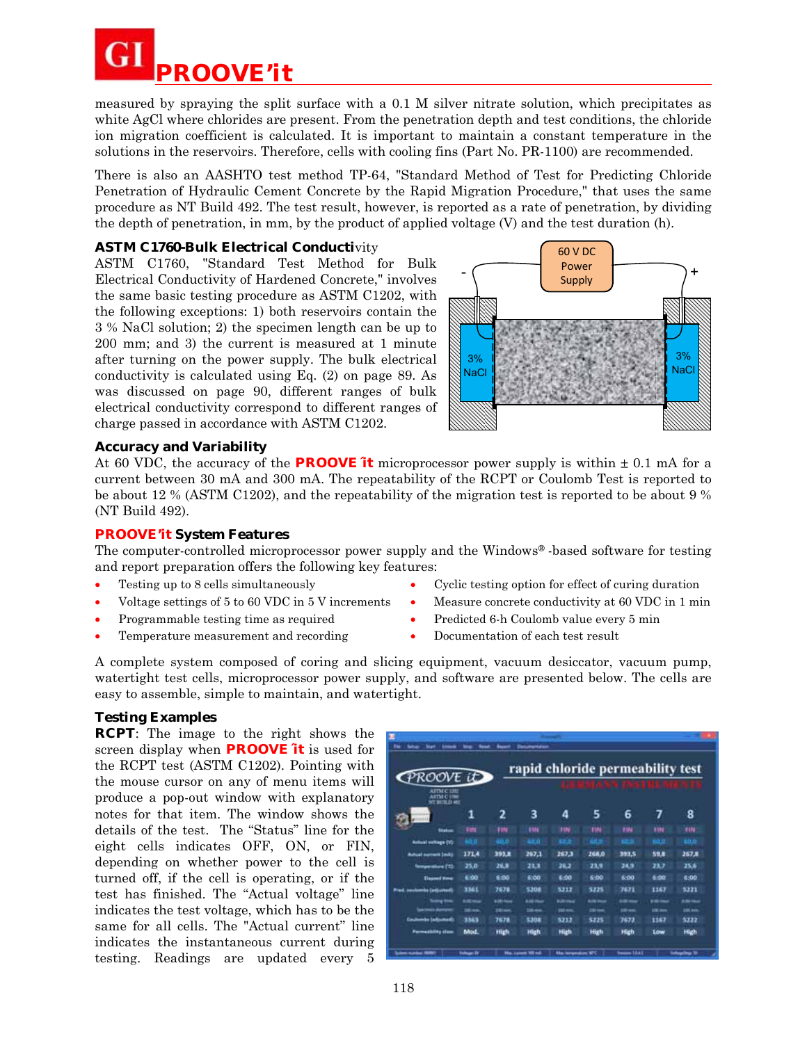

measured by spraying the split surface with a 0.1 M silver nitrate solution, which precipitates as white AgCl where chlorides are present. From the penetration depth and test conditions, the chloride ion migration coefficient is calculated. It is important to maintain a constant temperature in the solutions in the reservoirs. Therefore, cells with cooling fins (Part No. PR-1100) are recommended.

There is also an AASHTO test method TP-64, "Standard Method of Test for Predicting Chloride Penetration of Hydraulic Cement Concrete by the Rapid Migration Procedure," that uses the same procedure as NT Build 492. The test result, however, is reported as a rate of penetration, by dividing the depth of penetration, in mm, by the product of applied voltage (V) and the test duration (h).

# **ASTM C1760-Bulk Electrical Conductivity**

ASTM C1760, "Standard Test Method for Bulk Electrical Conductivity of Hardened Concrete," involves the same basic testing procedure as ASTM C1202, with the following exceptions: 1) both reservoirs contain the 3 % NaCl solution; 2) the specimen length can be up to 200 mm; and 3) the current is measured at 1 minute after turning on the power supply. The bulk electrical conductivity is calculated using Eq. (2) on page 89. As was discussed on page 90, different ranges of bulk electrical conductivity correspond to different ranges of charge passed in accordance with ASTM C1202.



### **Accuracy and Variability**

At 60 VDC, the accuracy of the **PROOVE** it microprocessor power supply is within  $\pm$  0.1 mA for a current between 30 mA and 300 mA. The repeatability of the RCPT or Coulomb Test is reported to be about 12 % (ASTM C1202), and the repeatability of the migration test is reported to be about 9 % (NT Build 492).

#### **PROOVE'it System Features**

The computer-controlled microprocessor power supply and the Windows®-based software for testing and report preparation offers the following key features:

- Testing up to 8 cells simultaneously
- Voltage settings of 5 to 60 VDC in 5 V increments
- Programmable testing time as required
- Temperature measurement and recording
- Cyclic testing option for effect of curing duration
- Measure concrete conductivity at 60 VDC in 1 min
- Predicted 6-h Coulomb value every 5 min
- Documentation of each test result

A complete system composed of coring and slicing equipment, vacuum desiccator, vacuum pump, watertight test cells, microprocessor power supply, and software are presented below. The cells are easy to assemble, simple to maintain, and watertight.

#### **Testing Examples**

**RCPT**: The image to the right shows the screen display when **PROOVE´it** is used for the RCPT test (ASTM C1202). Pointing with the mouse cursor on any of menu items will produce a pop-out window with explanatory notes for that item. The window shows the details of the test. The "Status" line for the eight cells indicates OFF, ON, or FIN, depending on whether power to the cell is turned off, if the cell is operating, or if the test has finished. The "Actual voltage" line indicates the test voltage, which has to be the same for all cells. The "Actual current" line indicates the instantaneous current during testing. Readings are updated every 5

|                                         |               |                 |              |                   |                   | rapid chloride permeability test |              |                 |
|-----------------------------------------|---------------|-----------------|--------------|-------------------|-------------------|----------------------------------|--------------|-----------------|
| ROOVE ID<br><b>ATTN CT393</b>           |               |                 |              |                   |                   |                                  |              |                 |
| <b>ARTM C 1766</b><br><b>NY BERLOWE</b> |               |                 |              |                   |                   |                                  |              |                 |
|                                         | 1             | 2               | з            | Δ                 | 5                 | 6                                | 7            | 8               |
| <b>Traduce</b>                          | <b>TIN</b>    | 92N             | <b>FME</b>   | <b>FIN</b>        | <b>TIN</b>        | <b>FIN</b>                       | <b>TIN</b>   | <b>FIN</b>      |
| Actual vehage (V)                       | 60 D          | 48.0            | an an        | $\blacksquare$    |                   |                                  | sis n        | 45.0            |
| <b>Autual numerit 3mb)</b>              | 171.4         | 393.B           | 267,1        | 267.3             | 268,0             | 393.5                            | 59.8         | 267.8           |
| <b>Temperature (11)</b>                 | 25.0          | 26.8            | 213          | 26.2              | 23.9              | 34.9                             | 23.7         | 25.6            |
| <b>Humed Your</b>                       | E:00          | 6:00            | 6:00         | 6:00              | 6:00              | 6:00                             | 6:00         | 6:00            |
| <b>Insulambe Cadiscoveril</b><br>--     | 3361          | 7678            | 5308         | 5212              | 5225              | 7671                             | 1167         | 5221            |
| --                                      | <b>RICHAR</b> | <b>STRINGER</b> | <b>RIGHT</b> | <b>8.00 Hours</b> | <b>A (9) 70-4</b> | $100 - 100$                      | --           | <b>A Birman</b> |
|                                         | <b>Mark</b>   | 36 am           | 156 mm       | 100 mm            | <b>390 mm</b>     | <b>USH</b>                       | <b>DE AN</b> | <b>1844</b>     |
| rike (schwenel).<br>نحاة                | 3365          | 7678            | 5308         | 5212              | 5225              | 7673                             | 1167         | 5222            |
| <b>Formatbility</b> class               | Mod.          | High            | High         | High              | High              | High                             | Low          | High            |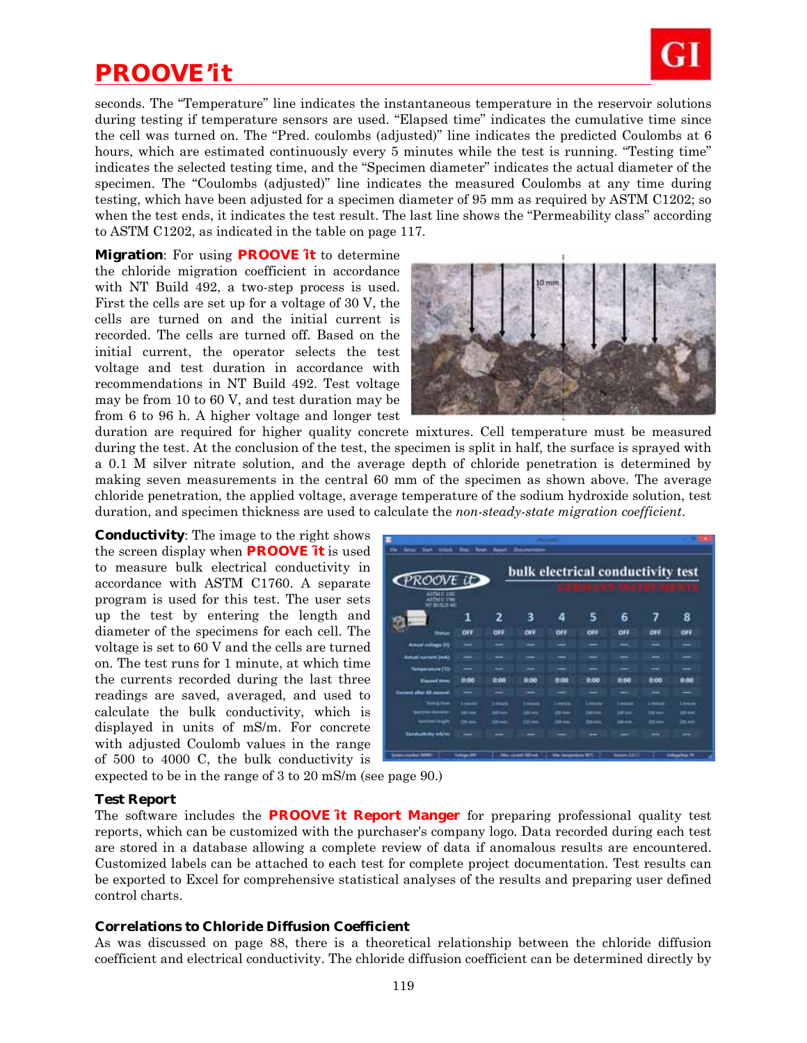# *PROOVE'it*



seconds. The "Temperature" line indicates the instantaneous temperature in the reservoir solutions during testing if temperature sensors are used. "Elapsed time" indicates the cumulative time since the cell was turned on. The "Pred. coulombs (adjusted)" line indicates the predicted Coulombs at 6 hours, which are estimated continuously every 5 minutes while the test is running. "Testing time" indicates the selected testing time, and the "Specimen diameter" indicates the actual diameter of the specimen. The "Coulombs (adjusted)" line indicates the measured Coulombs at any time during testing, which have been adjusted for a specimen diameter of 95 mm as required by ASTM C1202; so when the test ends, it indicates the test result. The last line shows the "Permeability class" according to ASTM C1202, as indicated in the table on page 117.

**Migration**: For using **PROOVE´it** to determine the chloride migration coefficient in accordance with NT Build 492, a two-step process is used. First the cells are set up for a voltage of 30 V, the cells are turned on and the initial current is recorded. The cells are turned off. Based on the initial current, the operator selects the test voltage and test duration in accordance with recommendations in NT Build 492. Test voltage may be from 10 to 60 V, and test duration may be from 6 to 96 h. A higher voltage and longer test



duration are required for higher quality concrete mixtures. Cell temperature must be measured during the test. At the conclusion of the test, the specimen is split in half, the surface is sprayed with a 0.1 M silver nitrate solution, and the average depth of chloride penetration is determined by making seven measurements in the central 60 mm of the specimen as shown above. The average chloride penetration, the applied voltage, average temperature of the sodium hydroxide solution, test duration, and specimen thickness are used to calculate the *non-steady-state migration coefficient*.

**Conductivity**: The image to the right shows the screen display when **PROOVE´it** is used to measure bulk electrical conductivity in accordance with ASTM C1760. A separate program is used for this test. The user sets up the test by entering the length and diameter of the specimens for each cell. The voltage is set to 60 V and the cells are turned on. The test runs for 1 minute, at which time the currents recorded during the last three readings are saved, averaged, and used to calculate the bulk conductivity, which is displayed in units of mS/m. For concrete with adjusted Coulomb values in the range of 500 to 4000 C, the bulk conductivity is

| п<br>State                                             | <b>Bandy</b>        | <b>Report</b>  | mentenae           | bulk electrical conductivity test |           |                     |                 |                          |
|--------------------------------------------------------|---------------------|----------------|--------------------|-----------------------------------|-----------|---------------------|-----------------|--------------------------|
| PROOVE ID<br><b>ASTMET EXIT</b><br><b>ASTM C 1988</b>  |                     |                |                    |                                   |           |                     |                 |                          |
| <b>W! BUILD AIR</b>                                    | 1                   | 2              | з                  | 4                                 | 5         | 6                   | 7               | 8                        |
| <b>Shakun</b>                                          | 0#                  | OF7            | ٥Ħ                 | OFF                               | oĦ        | OFF                 | <b>OFF</b>      | OFF                      |
| Actual sellage (V)                                     |                     |                | -                  |                                   |           |                     | -               |                          |
| Artual current (m4)                                    |                     |                |                    |                                   |           |                     |                 |                          |
| <b>Temperature (12)</b>                                |                     | -              | -                  | -                                 | -         |                     | --              | --                       |
| <b>Elegand Street</b>                                  | 0:00                | 0.00           | 0:00               | 0:00                              | 0:00      | 0:00                | 0:00            | 0:00                     |
| Europe shot 40 issued                                  |                     |                |                    |                                   | -         |                     | -               | _                        |
| <b>Scottist Street</b>                                 | <b>Lamon</b>        | <b>Limited</b> | <b>Limited</b>     | <b>Langeled</b>                   | Linkville | <b>Louisville</b>   | <b>Legacity</b> | 1 million                |
| <b>Sections-Associate</b>                              | <b>195 mm</b>       |                | <b>196 mm</b>      | im non                            |           | <b>SHOW</b>         | $= -$           | 1044                     |
| <b>Symphonic Rengils</b><br><b>Candustries militar</b> | 3644                | $-10 - 10$     | $100 - 4$          | <b>HEAR</b>                       | 10.5      | <b>DESK</b>         | <b>DE ALA</b>   | 38.44                    |
| <b><i><u>monitorist</u></i></b>                        | <b>Tellings Wit</b> |                | Min. cornell SE HA | Machinesonian SPL                 |           | <b>There I At 1</b> |                 | <b>United States St.</b> |

expected to be in the range of 3 to 20 mS/m (see page 90.)

#### **Test Report**

The software includes the **PROOVE´it Report Manger** for preparing professional quality test reports, which can be customized with the purchaser's company logo. Data recorded during each test are stored in a database allowing a complete review of data if anomalous results are encountered. Customized labels can be attached to each test for complete project documentation. Test results can be exported to Excel for comprehensive statistical analyses of the results and preparing user defined control charts.

#### **Correlations to Chloride Diffusion Coefficient**

As was discussed on page 88, there is a theoretical relationship between the chloride diffusion coefficient and electrical conductivity. The chloride diffusion coefficient can be determined directly by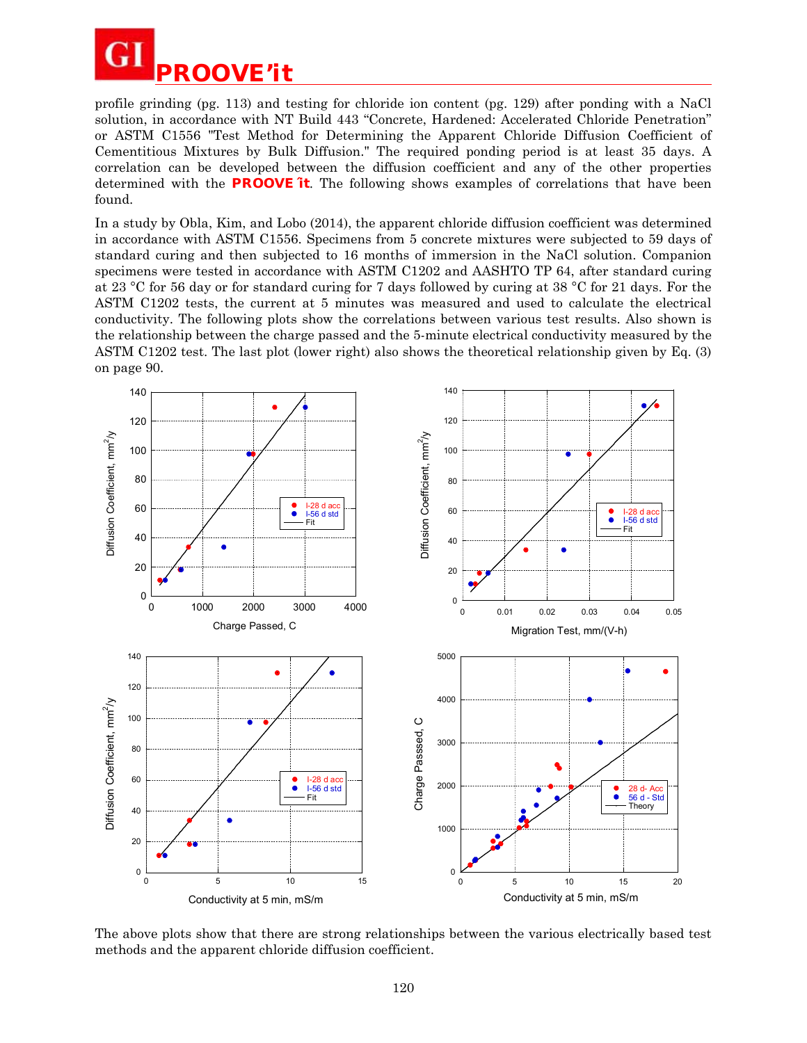

profile grinding (pg. 113) and testing for chloride ion content (pg. 129) after ponding with a NaCl solution, in accordance with NT Build 443 "Concrete, Hardened: Accelerated Chloride Penetration" or ASTM C1556 "Test Method for Determining the Apparent Chloride Diffusion Coefficient of Cementitious Mixtures by Bulk Diffusion." The required ponding period is at least 35 days. A correlation can be developed between the diffusion coefficient and any of the other properties determined with the **PROOVE´it**. The following shows examples of correlations that have been found.

In a study by Obla, Kim, and Lobo (2014), the apparent chloride diffusion coefficient was determined in accordance with ASTM C1556. Specimens from 5 concrete mixtures were subjected to 59 days of standard curing and then subjected to 16 months of immersion in the NaCl solution. Companion specimens were tested in accordance with ASTM C1202 and AASHTO TP 64, after standard curing at 23 °C for 56 day or for standard curing for 7 days followed by curing at 38 °C for 21 days. For the ASTM C1202 tests, the current at 5 minutes was measured and used to calculate the electrical conductivity. The following plots show the correlations between various test results. Also shown is the relationship between the charge passed and the 5-minute electrical conductivity measured by the ASTM C1202 test. The last plot (lower right) also shows the theoretical relationship given by Eq. (3) on page 90.



The above plots show that there are strong relationships between the various electrically based test methods and the apparent chloride diffusion coefficient.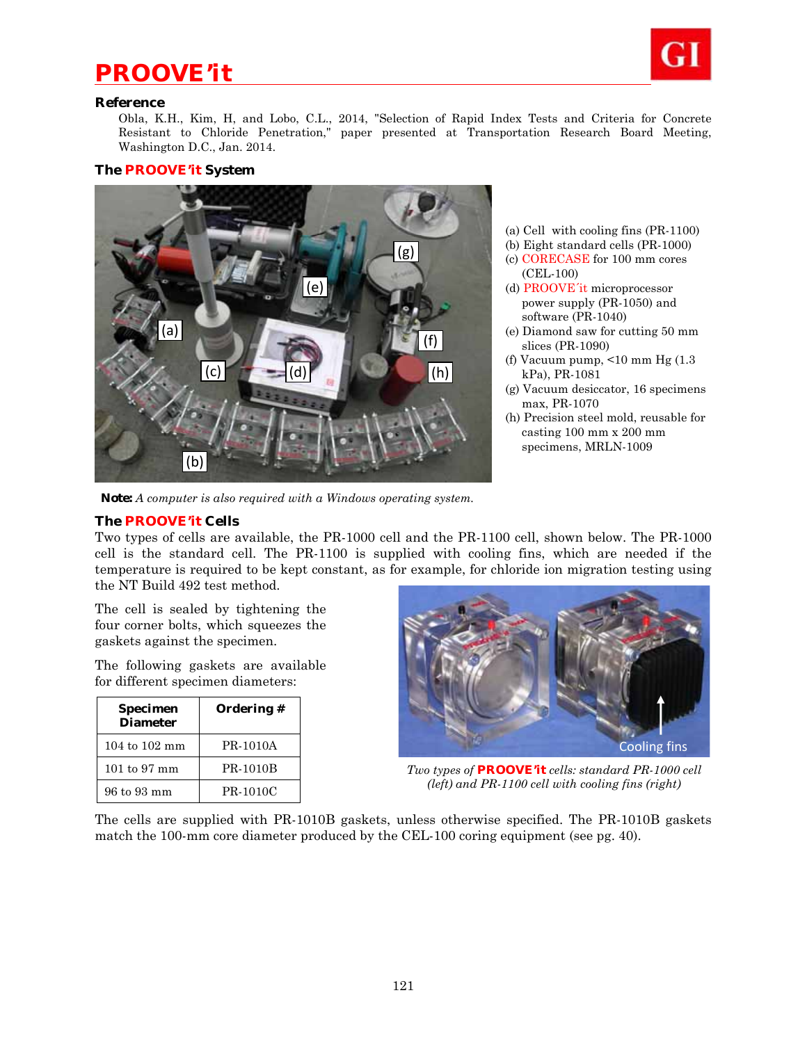# *PROOVE'it*



#### **Reference**

Obla, K.H., Kim, H, and Lobo, C.L., 2014, "Selection of Rapid Index Tests and Criteria for Concrete Resistant to Chloride Penetration," paper presented at Transportation Research Board Meeting, Washington D.C., Jan. 2014.

#### **The PROOVE'it System**



- (a) Cell with cooling fins (PR-1100)
- (b) Eight standard cells (PR-1000)
- (c) CORECASE for 100 mm cores (CEL-100)
- (d) PROOVE´it microprocessor power supply (PR-1050) and software (PR-1040)
- (e) Diamond saw for cutting 50 mm slices (PR-1090)
- (f) Vacuum pump, <10 mm Hg (1.3 kPa), PR-1081
- (g) Vacuum desiccator, 16 specimens max, PR-1070
- (h) Precision steel mold, reusable for casting 100 mm x 200 mm specimens, MRLN-1009

*Note: A computer is also required with a Windows operating system.* 

#### **The PROOVE'it Cells**

Two types of cells are available, the PR-1000 cell and the PR-1100 cell, shown below. The PR-1000 cell is the standard cell. The PR-1100 is supplied with cooling fins, which are needed if the temperature is required to be kept constant, as for example, for chloride ion migration testing using the NT Build 492 test method.

The cell is sealed by tightening the four corner bolts, which squeezes the gaskets against the specimen.

The following gaskets are available for different specimen diameters:

| Specimen<br><b>Diameter</b> | Ordering # |
|-----------------------------|------------|
| $104$ to $102$ mm           | PR-1010A   |
| 101 to 97 mm                | PR-1010B   |
| 96 to 93 mm                 | PR-1010C   |



*Two types of* **PROOVE'it** *cells: standard PR-1000 cell (left) and PR-1100 cell with cooling fins (right)* 

The cells are supplied with PR-1010B gaskets, unless otherwise specified. The PR-1010B gaskets match the 100-mm core diameter produced by the CEL-100 coring equipment (see pg. 40).